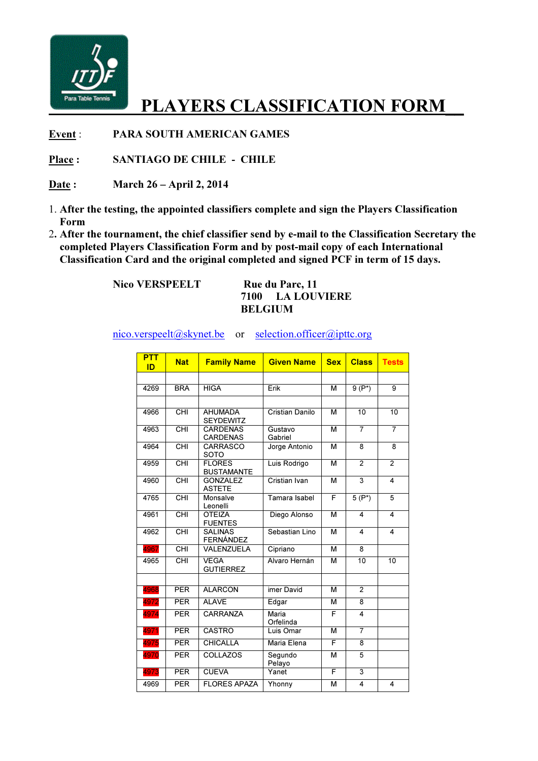

## PLAYERS CLASSIFICATION FORM

Event : PARA SOUTH AMERICAN GAMES

Place : SANTIAGO DE CHILE - CHILE

Date : March 26 – April 2, 2014

- 1. After the testing, the appointed classifiers complete and sign the Players Classification Form
- 2. After the tournament, the chief classifier send by e-mail to the Classification Secretary the completed Players Classification Form and by post-mail copy of each International Classification Card and the original completed and signed PCF in term of 15 days.

Nico VERSPEELT Rue du Parc, 11

## 7100 LA LOUVIERE BELGIUM

nico.verspeelt@skynet.be or selection.officer@ipttc.org

| <b>PTT</b><br>ID | <b>Nat</b>                         | <b>Family Name</b>                 | <b>Given Name</b>  | <b>Sex</b> | <b>Class</b>    | <b>Tests</b>    |
|------------------|------------------------------------|------------------------------------|--------------------|------------|-----------------|-----------------|
|                  |                                    |                                    |                    |            |                 |                 |
| 4269             | <b>BRA</b>                         | <b>HIGA</b>                        | Erik               | М          | $9(P^*)$        | 9               |
|                  |                                    |                                    |                    |            |                 |                 |
| 4966             | CHI                                | <b>AHUMADA</b><br><b>SEYDEWITZ</b> | Cristian Danilo    | M          | $\overline{10}$ | $\overline{10}$ |
| 4963             | <b>CHI</b>                         | <b>CARDENAS</b><br><b>CARDENAS</b> | Gustavo<br>Gabriel | M          | $\overline{7}$  | $\overline{7}$  |
| 4964             | $\overline{\overline{\text{CHI}}}$ | <b>CARRASCO</b><br><b>SOTO</b>     | Jorge Antonio      | М          | 8               | 8               |
| 4959             | CHI                                | <b>FLORES</b><br><b>BUSTAMANTE</b> | Luis Rodrigo       | M          | $\mathfrak{p}$  | $\overline{2}$  |
| 4960             | CHI                                | <b>GONZALEZ</b><br><b>ASTETE</b>   | Cristian Ivan      | M          | 3               | 4               |
| 4765             | $\overline{CH}$                    | Monsalve<br>Leonelli               | Tamara Isabel      | F          | $5(P^*)$        | 5               |
| 4961             | CHI                                | <b>OTEIZA</b><br><b>FUENTES</b>    | Diego Alonso       | M          | 4               | 4               |
| 4962             | CHI                                | <b>SALINAS</b><br><b>FERNÁNDEZ</b> | Sebastian Lino     | M          | 4               | 4               |
| 4967             | CHI                                | VALENZUELA                         | Cipriano           | М          | 8               |                 |
| 4965             | $\overline{CH}$                    | <b>VEGA</b><br><b>GUTIERREZ</b>    | Alvaro Hernán      | М          | 10              | 10              |
|                  |                                    |                                    |                    |            |                 |                 |
| 4968             | <b>PER</b>                         | <b>ALARCON</b>                     | imer David         | M          | $\overline{2}$  |                 |
| 4972             | <b>PER</b>                         | <b>ALAVE</b>                       | Edgar              | м          | 8               |                 |
| 4974             | <b>PER</b>                         | <b>CARRANZA</b>                    | Maria<br>Orfelinda | F          | $\overline{4}$  |                 |
| 4971             | <b>PER</b>                         | <b>CASTRO</b>                      | Luis Omar          | M          | $\overline{7}$  |                 |
| 4975             | <b>PER</b>                         | <b>CHICALLA</b>                    | Maria Elena        | F          | 8               |                 |
| 4970             | <b>PER</b>                         | <b>COLLAZOS</b>                    | Segundo<br>Pelayo  | M          | 5               |                 |
| 4973             | PER                                | <b>CUEVA</b>                       | Yanet              | F          | 3               |                 |
| 4969             | PER                                | <b>FLORES APAZA</b>                | Yhonny             | М          | 4               | 4               |